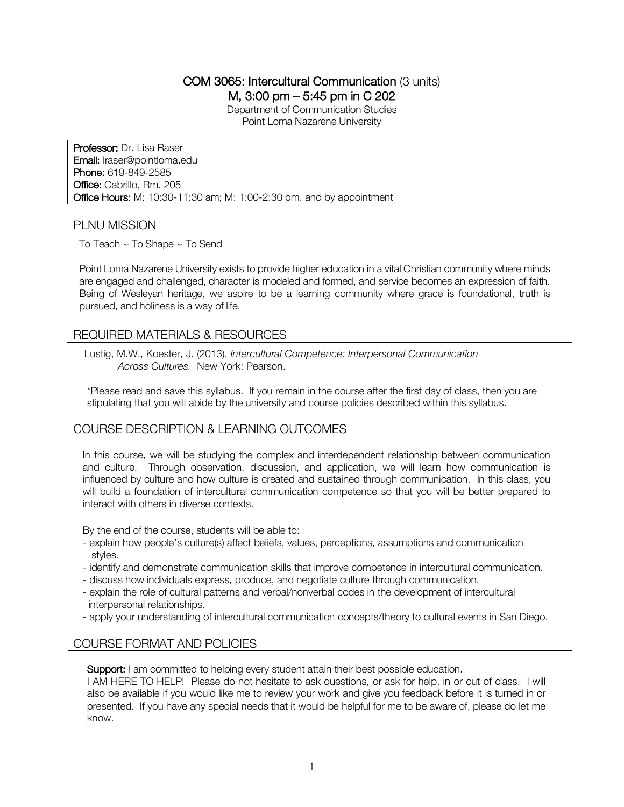# COM 3065: Intercultural Communication (3 units)

M, 3:00 pm – 5:45 pm in C 202

Department of Communication Studies Point Loma Nazarene University

Professor: Dr. Lisa Raser Email: lraser@pointloma.edu Phone: 619-849-2585 Office: Cabrillo, Rm. 205 Office Hours: M: 10:30-11:30 am; M: 1:00-2:30 pm, and by appointment

### PLNU MISSION

To Teach ~ To Shape ~ To Send

Point Loma Nazarene University exists to provide higher education in a vital Christian community where minds are engaged and challenged, character is modeled and formed, and service becomes an expression of faith. Being of Wesleyan heritage, we aspire to be a learning community where grace is foundational, truth is pursued, and holiness is a way of life.

### REQUIRED MATERIALS & RESOURCES

Lustig, M.W., Koester, J. (2013). *Intercultural Competence: Interpersonal Communication Across Cultures.* New York: Pearson.

\*Please read and save this syllabus. If you remain in the course after the first day of class, then you are stipulating that you will abide by the university and course policies described within this syllabus.

### COURSE DESCRIPTION & LEARNING OUTCOMES

In this course, we will be studying the complex and interdependent relationship between communication and culture. Through observation, discussion, and application, we will learn how communication is influenced by culture and how culture is created and sustained through communication. In this class, you will build a foundation of intercultural communication competence so that you will be better prepared to interact with others in diverse contexts.

By the end of the course, students will be able to:

- explain how people's culture(s) affect beliefs, values, perceptions, assumptions and communication styles.
- identify and demonstrate communication skills that improve competence in intercultural communication.
- discuss how individuals express, produce, and negotiate culture through communication.
- explain the role of cultural patterns and verbal/nonverbal codes in the development of intercultural interpersonal relationships.
- apply your understanding of intercultural communication concepts/theory to cultural events in San Diego.

### COURSE FORMAT AND POLICIES

Support: I am committed to helping every student attain their best possible education.

I AM HERE TO HELP! Please do not hesitate to ask questions, or ask for help, in or out of class. I will also be available if you would like me to review your work and give you feedback before it is turned in or presented. If you have any special needs that it would be helpful for me to be aware of, please do let me know.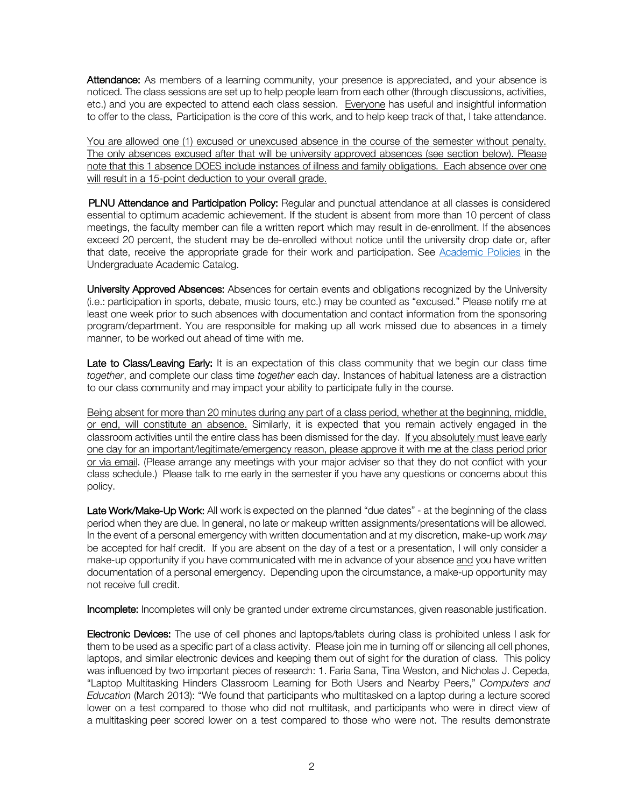Attendance: As members of a learning community, your presence is appreciated, and your absence is noticed. The class sessions are set up to help people learn from each other (through discussions, activities, etc.) and you are expected to attend each class session. Everyone has useful and insightful information to offer to the class. Participation is the core of this work, and to help keep track of that, I take attendance.

You are allowed one (1) excused or unexcused absence in the course of the semester without penalty. The only absences excused after that will be university approved absences (see section below). Please note that this 1 absence DOES include instances of illness and family obligations. Each absence over one will result in a 15-point deduction to your overall grade.

PLNU Attendance and Participation Policy: Regular and punctual attendance at all classes is considered essential to optimum academic achievement. If the student is absent from more than 10 percent of class meetings, the faculty member can file a written report which may result in de-enrollment. If the absences exceed 20 percent, the student may be de-enrolled without notice until the university drop date or, after that date, receive the appropriate grade for their work and participation. See Academic Policies in the Undergraduate Academic Catalog.

University Approved Absences: Absences for certain events and obligations recognized by the University (i.e.: participation in sports, debate, music tours, etc.) may be counted as "excused." Please notify me at least one week prior to such absences with documentation and contact information from the sponsoring program/department. You are responsible for making up all work missed due to absences in a timely manner, to be worked out ahead of time with me.

Late to Class/Leaving Early: It is an expectation of this class community that we begin our class time *together*, and complete our class time *together* each day. Instances of habitual lateness are a distraction to our class community and may impact your ability to participate fully in the course.

Being absent for more than 20 minutes during any part of a class period, whether at the beginning, middle, or end, will constitute an absence. Similarly, it is expected that you remain actively engaged in the classroom activities until the entire class has been dismissed for the day. If you absolutely must leave early one day for an important/legitimate/emergency reason, please approve it with me at the class period prior or via email. (Please arrange any meetings with your major adviser so that they do not conflict with your class schedule.) Please talk to me early in the semester if you have any questions or concerns about this policy.

Late Work/Make-Up Work: All work is expected on the planned "due dates" - at the beginning of the class period when they are due. In general, no late or makeup written assignments/presentations will be allowed. In the event of a personal emergency with written documentation and at my discretion, make-up work *may* be accepted for half credit. If you are absent on the day of a test or a presentation, I will only consider a make-up opportunity if you have communicated with me in advance of your absence and you have written documentation of a personal emergency. Depending upon the circumstance, a make-up opportunity may not receive full credit.

Incomplete: Incompletes will only be granted under extreme circumstances, given reasonable justification.

Electronic Devices: The use of cell phones and laptops/tablets during class is prohibited unless I ask for them to be used as a specific part of a class activity. Please join me in turning off or silencing all cell phones, laptops, and similar electronic devices and keeping them out of sight for the duration of class. This policy was influenced by two important pieces of research: 1. Faria Sana, Tina Weston, and Nicholas J. Cepeda, "Laptop Multitasking Hinders Classroom Learning for Both Users and Nearby Peers," *Computers and Education* (March 2013): "We found that participants who multitasked on a laptop during a lecture scored lower on a test compared to those who did not multitask, and participants who were in direct view of a multitasking peer scored lower on a test compared to those who were not. The results demonstrate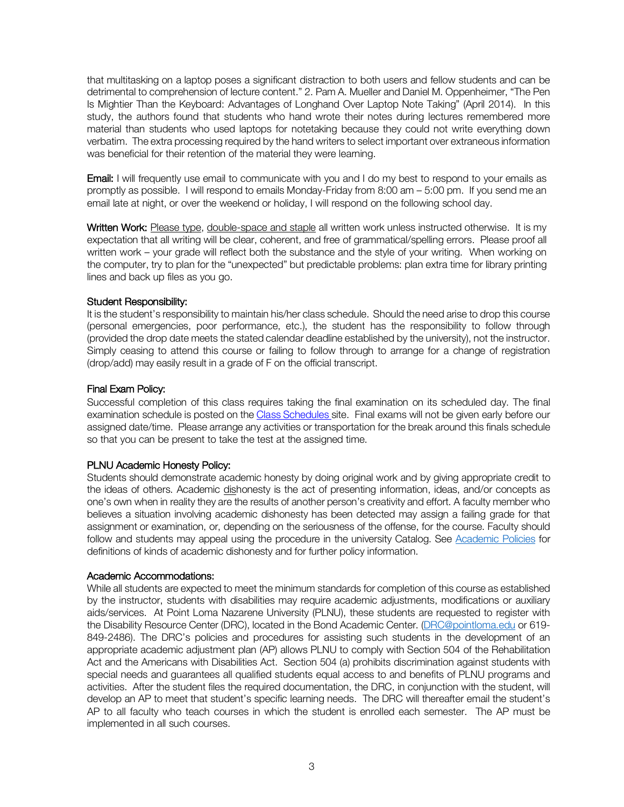that multitasking on a laptop poses a significant distraction to both users and fellow students and can be detrimental to comprehension of lecture content." 2. Pam A. Mueller and Daniel M. Oppenheimer, "The Pen Is Mightier Than the Keyboard: Advantages of Longhand Over Laptop Note Taking" (April 2014). In this study, the authors found that students who hand wrote their notes during lectures remembered more material than students who used laptops for notetaking because they could not write everything down verbatim. The extra processing required by the hand writers to select important over extraneous information was beneficial for their retention of the material they were learning.

Email: I will frequently use email to communicate with you and I do my best to respond to your emails as promptly as possible. I will respond to emails Monday-Friday from 8:00 am – 5:00 pm. If you send me an email late at night, or over the weekend or holiday, I will respond on the following school day.

Written Work: Please type, double-space and staple all written work unless instructed otherwise. It is my expectation that all writing will be clear, coherent, and free of grammatical/spelling errors. Please proof all written work – your grade will reflect both the substance and the style of your writing. When working on the computer, try to plan for the "unexpected" but predictable problems: plan extra time for library printing lines and back up files as you go.

#### Student Responsibility:

It is the student's responsibility to maintain his/her class schedule. Should the need arise to drop this course (personal emergencies, poor performance, etc.), the student has the responsibility to follow through (provided the drop date meets the stated calendar deadline established by the university), not the instructor. Simply ceasing to attend this course or failing to follow through to arrange for a change of registration (drop/add) may easily result in a grade of F on the official transcript.

#### Final Exam Policy:

Successful completion of this class requires taking the final examination on its scheduled day. The final examination schedule is posted on the Class Schedules site. Final exams will not be given early before our assigned date/time. Please arrange any activities or transportation for the break around this finals schedule so that you can be present to take the test at the assigned time.

### PLNU Academic Honesty Policy:

Students should demonstrate academic honesty by doing original work and by giving appropriate credit to the ideas of others. Academic dishonesty is the act of presenting information, ideas, and/or concepts as one's own when in reality they are the results of another person's creativity and effort. A faculty member who believes a situation involving academic dishonesty has been detected may assign a failing grade for that assignment or examination, or, depending on the seriousness of the offense, for the course. Faculty should follow and students may appeal using the procedure in the university Catalog. See Academic Policies for definitions of kinds of academic dishonesty and for further policy information.

#### Academic Accommodations:

While all students are expected to meet the minimum standards for completion of this course as established by the instructor, students with disabilities may require academic adjustments, modifications or auxiliary aids/services. At Point Loma Nazarene University (PLNU), these students are requested to register with the Disability Resource Center (DRC), located in the Bond Academic Center. (DRC@pointloma.edu or 619- 849-2486). The DRC's policies and procedures for assisting such students in the development of an appropriate academic adjustment plan (AP) allows PLNU to comply with Section 504 of the Rehabilitation Act and the Americans with Disabilities Act. Section 504 (a) prohibits discrimination against students with special needs and guarantees all qualified students equal access to and benefits of PLNU programs and activities. After the student files the required documentation, the DRC, in conjunction with the student, will develop an AP to meet that student's specific learning needs. The DRC will thereafter email the student's AP to all faculty who teach courses in which the student is enrolled each semester. The AP must be implemented in all such courses.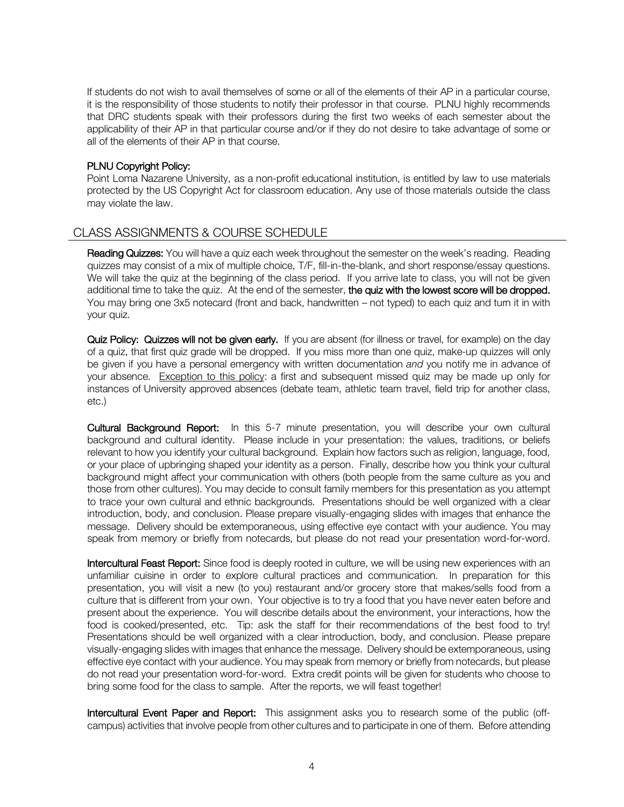If students do not wish to avail themselves of some or all of the elements of their AP in a particular course, it is the responsibility of those students to notify their professor in that course. PLNU highly recommends that DRC students speak with their professors during the first two weeks of each semester about the applicability of their AP in that particular course and/or if they do not desire to take advantage of some or all of the elements of their AP in that course.

#### PLNU Copyright Policy:

Point Loma Nazarene University, as a non-profit educational institution, is entitled by law to use materials protected by the US Copyright Act for classroom education. Any use of those materials outside the class may violate the law.

## CLASS ASSIGNMENTS & COURSE SCHEDULE

Reading Quizzes: You will have a quiz each week throughout the semester on the week's reading. Reading quizzes may consist of a mix of multiple choice, T/F, fill-in-the-blank, and short response/essay questions. We will take the quiz at the beginning of the class period. If you arrive late to class, you will not be given additional time to take the quiz. At the end of the semester, the quiz with the lowest score will be dropped. You may bring one 3x5 notecard (front and back, handwritten – not typed) to each quiz and turn it in with your quiz.

Quiz Policy: Quizzes will not be given early. If you are absent (for illness or travel, for example) on the day of a quiz, that first quiz grade will be dropped. If you miss more than one quiz, make-up quizzes will only be given if you have a personal emergency with written documentation *and* you notify me in advance of your absence. Exception to this policy: a first and subsequent missed quiz may be made up only for instances of University approved absences (debate team, athletic team travel, field trip for another class, etc.)

Cultural Background Report: In this 5-7 minute presentation, you will describe your own cultural background and cultural identity. Please include in your presentation: the values, traditions, or beliefs relevant to how you identify your cultural background. Explain how factors such as religion, language, food, or your place of upbringing shaped your identity as a person. Finally, describe how you think your cultural background might affect your communication with others (both people from the same culture as you and those from other cultures). You may decide to consult family members for this presentation as you attempt to trace your own cultural and ethnic backgrounds. Presentations should be well organized with a clear introduction, body, and conclusion. Please prepare visually-engaging slides with images that enhance the message. Delivery should be extemporaneous, using effective eye contact with your audience. You may speak from memory or briefly from notecards, but please do not read your presentation word-for-word.

Intercultural Feast Report: Since food is deeply rooted in culture, we will be using new experiences with an unfamiliar cuisine in order to explore cultural practices and communication. In preparation for this presentation, you will visit a new (to you) restaurant and/or grocery store that makes/sells food from a culture that is different from your own. Your objective is to try a food that you have never eaten before and present about the experience. You will describe details about the environment, your interactions, how the food is cooked/presented, etc. Tip: ask the staff for their recommendations of the best food to try! Presentations should be well organized with a clear introduction, body, and conclusion. Please prepare visually-engaging slides with images that enhance the message. Delivery should be extemporaneous, using effective eye contact with your audience. You may speak from memory or briefly from notecards, but please do not read your presentation word-for-word. Extra credit points will be given for students who choose to bring some food for the class to sample. After the reports, we will feast together!

Intercultural Event Paper and Report: This assignment asks you to research some of the public (offcampus) activities that involve people from other cultures and to participate in one of them. Before attending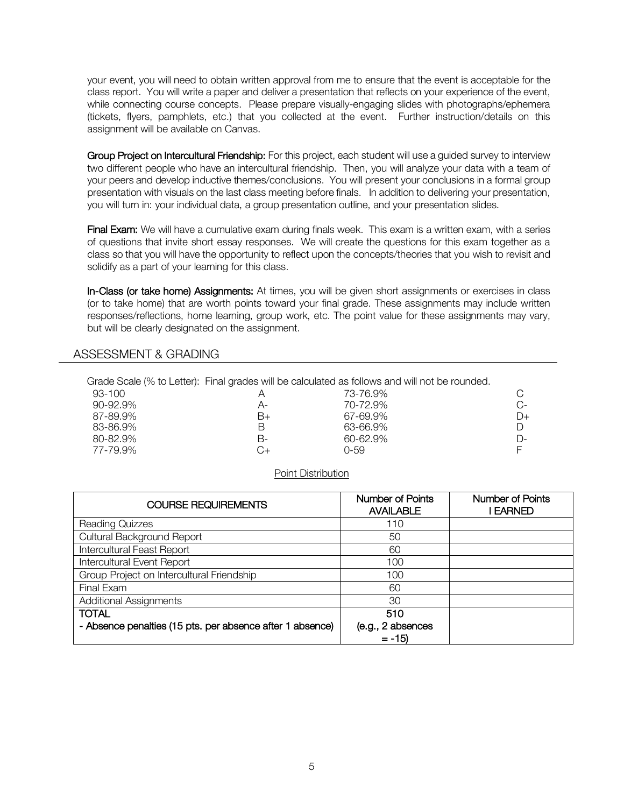your event, you will need to obtain written approval from me to ensure that the event is acceptable for the class report. You will write a paper and deliver a presentation that reflects on your experience of the event, while connecting course concepts. Please prepare visually-engaging slides with photographs/ephemera (tickets, flyers, pamphlets, etc.) that you collected at the event. Further instruction/details on this assignment will be available on Canvas.

Group Project on Intercultural Friendship: For this project, each student will use a guided survey to interview two different people who have an intercultural friendship. Then, you will analyze your data with a team of your peers and develop inductive themes/conclusions. You will present your conclusions in a formal group presentation with visuals on the last class meeting before finals. In addition to delivering your presentation, you will turn in: your individual data, a group presentation outline, and your presentation slides.

Final Exam: We will have a cumulative exam during finals week. This exam is a written exam, with a series of questions that invite short essay responses. We will create the questions for this exam together as a class so that you will have the opportunity to reflect upon the concepts/theories that you wish to revisit and solidify as a part of your learning for this class.

In-Class (or take home) Assignments: At times, you will be given short assignments or exercises in class (or to take home) that are worth points toward your final grade. These assignments may include written responses/reflections, home learning, group work, etc. The point value for these assignments may vary, but will be clearly designated on the assignment.

## ASSESSMENT & GRADING

|               |    | Grade Scale (% to Letter): Final grades will be calculated as follows and will not be rounded. |    |
|---------------|----|------------------------------------------------------------------------------------------------|----|
| 93-100        |    | 73-76.9%                                                                                       |    |
| $90 - 92.9\%$ | А- | 70-72.9%                                                                                       | C- |
| 87-89.9%      | B+ | 67-69.9%                                                                                       | D+ |
| 83-86.9%      |    | 63-66.9%                                                                                       |    |
| 80-82.9%      | В- | 60-62.9%                                                                                       | D- |
| 77-79.9%      |    | Ი-59                                                                                           |    |

#### Point Distribution

| <b>COURSE REQUIREMENTS</b>                                | <b>Number of Points</b><br><b>AVAILABLE</b> | <b>Number of Points</b><br><b>EARNED</b> |
|-----------------------------------------------------------|---------------------------------------------|------------------------------------------|
| Reading Quizzes                                           | 110                                         |                                          |
| <b>Cultural Background Report</b>                         | 50                                          |                                          |
| Intercultural Feast Report                                | 60                                          |                                          |
| Intercultural Event Report                                | 100                                         |                                          |
| Group Project on Intercultural Friendship                 | 100                                         |                                          |
| Final Exam                                                | 60                                          |                                          |
| <b>Additional Assignments</b>                             | 30                                          |                                          |
| <b>TOTAL</b>                                              | 510                                         |                                          |
| - Absence penalties (15 pts. per absence after 1 absence) | (e.g., 2 absences                           |                                          |
|                                                           | $= -15$                                     |                                          |